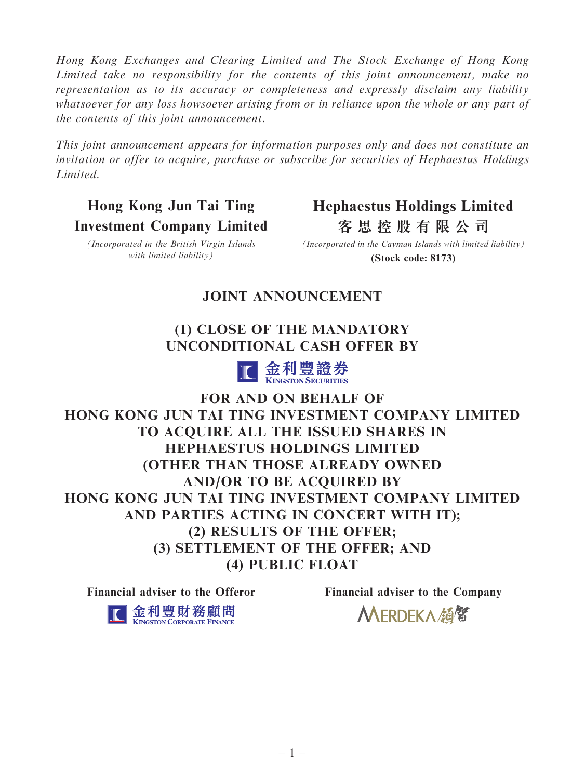Hong Kong Exchanges and Clearing Limited and The Stock Exchange of Hong Kong Limited take no responsibility for the contents of this joint announcement, make no representation as to its accuracy or completeness and expressly disclaim any liability whatsoever for any loss howsoever arising from or in reliance upon the whole or any part of the contents of this joint announcement.

This joint announcement appears for information purposes only and does not constitute an invitation or offer to acquire, purchase or subscribe for securities of Hephaestus Holdings Limited.

Hong Kong Jun Tai Ting Investment Company Limited **Hephaestus Holdings Limited 客思控股有限公司**

(Incorporated in the British Virgin Islands with limited liability)

**(Stock code: 8173)** *(Incorporated in the Cayman Islands with limited liability)*

# JOINT ANNOUNCEMENT

# (1) CLOSE OF THE MANDATORY UNCONDITIONAL CASH OFFER BY



FOR AND ON BEHALF OF HONG KONG JUN TAI TING INVESTMENT COMPANY LIMITED TO ACQUIRE ALL THE ISSUED SHARES IN HEPHAESTUS HOLDINGS LIMITED (OTHER THAN THOSE ALREADY OWNED AND/OR TO BE ACQUIRED BY HONG KONG JUN TAI TING INVESTMENT COMPANY LIMITED AND PARTIES ACTING IN CONCERT WITH IT); (2) RESULTS OF THE OFFER; (3) SETTLEMENT OF THE OFFER; AND (4) PUBLIC FLOAT

Financial adviser to the Offeror Financial adviser to the Company



MERDEKA顔留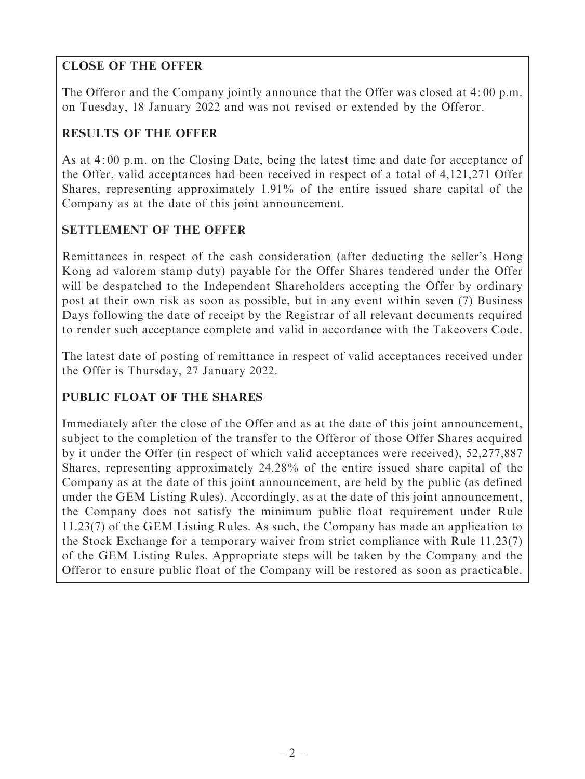# CLOSE OF THE OFFER

The Offeror and the Company jointly announce that the Offer was closed at 4: 00 p.m. on Tuesday, 18 January 2022 and was not revised or extended by the Offeror.

## RESULTS OF THE OFFER

As at 4: 00 p.m. on the Closing Date, being the latest time and date for acceptance of the Offer, valid acceptances had been received in respect of a total of 4,121,271 Offer Shares, representing approximately 1.91% of the entire issued share capital of the Company as at the date of this joint announcement.

## SETTLEMENT OF THE OFFER

Remittances in respect of the cash consideration (after deducting the seller's Hong Kong ad valorem stamp duty) payable for the Offer Shares tendered under the Offer will be despatched to the Independent Shareholders accepting the Offer by ordinary post at their own risk as soon as possible, but in any event within seven (7) Business Days following the date of receipt by the Registrar of all relevant documents required to render such acceptance complete and valid in accordance with the Takeovers Code.

The latest date of posting of remittance in respect of valid acceptances received under the Offer is Thursday, 27 January 2022.

## PUBLIC FLOAT OF THE SHARES

Immediately after the close of the Offer and as at the date of this joint announcement, subject to the completion of the transfer to the Offeror of those Offer Shares acquired by it under the Offer (in respect of which valid acceptances were received), 52,277,887 Shares, representing approximately 24.28% of the entire issued share capital of the Company as at the date of this joint announcement, are held by the public (as defined under the GEM Listing Rules). Accordingly, as at the date of this joint announcement, the Company does not satisfy the minimum public float requirement under Rule 11.23(7) of the GEM Listing Rules. As such, the Company has made an application to the Stock Exchange for a temporary waiver from strict compliance with Rule 11.23(7) of the GEM Listing Rules. Appropriate steps will be taken by the Company and the Offeror to ensure public float of the Company will be restored as soon as practicable.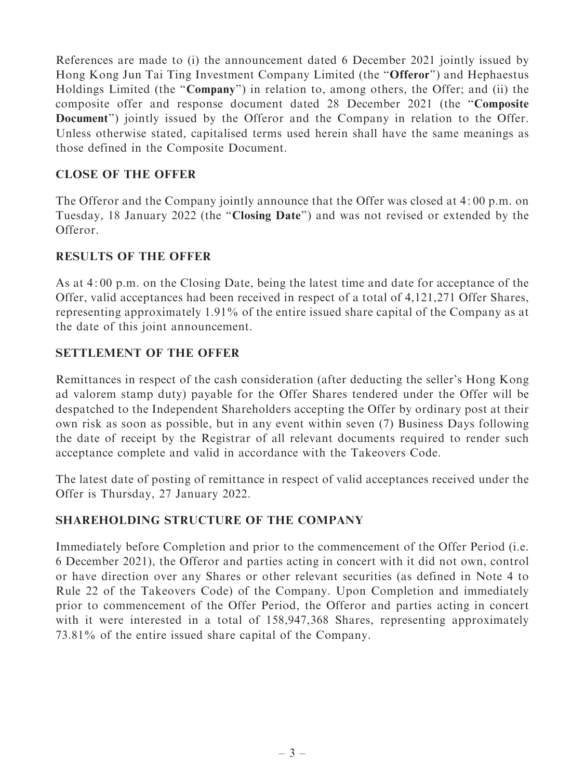References are made to (i) the announcement dated 6 December 2021 jointly issued by Hong Kong Jun Tai Ting Investment Company Limited (the ''Offeror'') and Hephaestus Holdings Limited (the "Company") in relation to, among others, the Offer; and (ii) the composite offer and response document dated 28 December 2021 (the ''Composite Document'') jointly issued by the Offeror and the Company in relation to the Offer. Unless otherwise stated, capitalised terms used herein shall have the same meanings as those defined in the Composite Document.

## CLOSE OF THE OFFER

The Offeror and the Company jointly announce that the Offer was closed at 4: 00 p.m. on Tuesday, 18 January 2022 (the "Closing Date") and was not revised or extended by the Offeror.

### RESULTS OF THE OFFER

As at 4: 00 p.m. on the Closing Date, being the latest time and date for acceptance of the Offer, valid acceptances had been received in respect of a total of 4,121,271 Offer Shares, representing approximately 1.91% of the entire issued share capital of the Company as at the date of this joint announcement.

### SETTLEMENT OF THE OFFER

Remittances in respect of the cash consideration (after deducting the seller's Hong Kong ad valorem stamp duty) payable for the Offer Shares tendered under the Offer will be despatched to the Independent Shareholders accepting the Offer by ordinary post at their own risk as soon as possible, but in any event within seven (7) Business Days following the date of receipt by the Registrar of all relevant documents required to render such acceptance complete and valid in accordance with the Takeovers Code.

The latest date of posting of remittance in respect of valid acceptances received under the Offer is Thursday, 27 January 2022.

#### SHAREHOLDING STRUCTURE OF THE COMPANY

Immediately before Completion and prior to the commencement of the Offer Period (i.e. 6 December 2021), the Offeror and parties acting in concert with it did not own, control or have direction over any Shares or other relevant securities (as defined in Note 4 to Rule 22 of the Takeovers Code) of the Company. Upon Completion and immediately prior to commencement of the Offer Period, the Offeror and parties acting in concert with it were interested in a total of 158,947,368 Shares, representing approximately 73.81% of the entire issued share capital of the Company.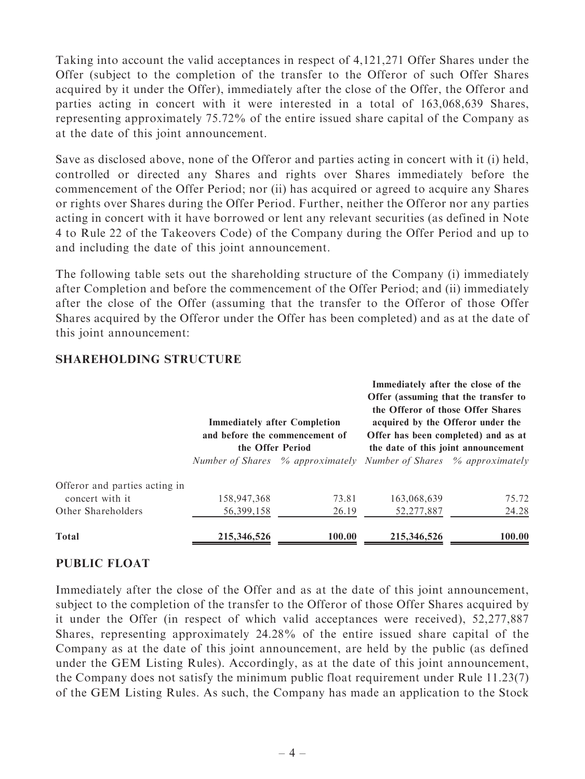Taking into account the valid acceptances in respect of 4,121,271 Offer Shares under the Offer (subject to the completion of the transfer to the Offeror of such Offer Shares acquired by it under the Offer), immediately after the close of the Offer, the Offeror and parties acting in concert with it were interested in a total of 163,068,639 Shares, representing approximately 75.72% of the entire issued share capital of the Company as at the date of this joint announcement.

Save as disclosed above, none of the Offeror and parties acting in concert with it (i) held, controlled or directed any Shares and rights over Shares immediately before the commencement of the Offer Period; nor (ii) has acquired or agreed to acquire any Shares or rights over Shares during the Offer Period. Further, neither the Offeror nor any parties acting in concert with it have borrowed or lent any relevant securities (as defined in Note 4 to Rule 22 of the Takeovers Code) of the Company during the Offer Period and up to and including the date of this joint announcement.

The following table sets out the shareholding structure of the Company (i) immediately after Completion and before the commencement of the Offer Period; and (ii) immediately after the close of the Offer (assuming that the transfer to the Offeror of those Offer Shares acquired by the Offeror under the Offer has been completed) and as at the date of this joint announcement:

|                                                   | <b>Immediately after Completion</b><br>and before the commencement of<br>the Offer Period |                                  | Immediately after the close of the<br>Offer (assuming that the transfer to<br>the Offeror of those Offer Shares<br>acquired by the Offeror under the<br>Offer has been completed) and as at<br>the date of this joint announcement |        |
|---------------------------------------------------|-------------------------------------------------------------------------------------------|----------------------------------|------------------------------------------------------------------------------------------------------------------------------------------------------------------------------------------------------------------------------------|--------|
|                                                   |                                                                                           | Number of Shares % approximately | Number of Shares % approximately                                                                                                                                                                                                   |        |
| Offeror and parties acting in<br>concert with it. | 158,947,368                                                                               | 73.81                            | 163,068,639                                                                                                                                                                                                                        | 75.72  |
| Other Shareholders                                | 56,399,158                                                                                | 26.19                            | 52,277,887                                                                                                                                                                                                                         | 24.28  |
| <b>Total</b>                                      | 215,346,526                                                                               | 100.00                           | 215,346,526                                                                                                                                                                                                                        | 100.00 |

#### SHAREHOLDING STRUCTURE

#### PUBLIC FLOAT

Immediately after the close of the Offer and as at the date of this joint announcement, subject to the completion of the transfer to the Offeror of those Offer Shares acquired by it under the Offer (in respect of which valid acceptances were received), 52,277,887 Shares, representing approximately 24.28% of the entire issued share capital of the Company as at the date of this joint announcement, are held by the public (as defined under the GEM Listing Rules). Accordingly, as at the date of this joint announcement, the Company does not satisfy the minimum public float requirement under Rule 11.23(7) of the GEM Listing Rules. As such, the Company has made an application to the Stock